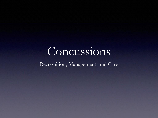#### Concussions

Recognition, Management, and Care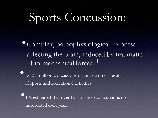### Sports Concussion:

•Complex, pathophysiological process affecting the brain, induced by traumatic bio-mechanical forces.<sup>1</sup>

• 1.6-3.8 million concussions occur as a direct result of sports and recreational activities.

It's estimated that over half of those concussions go unreported each year.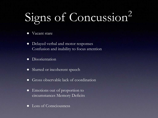## Signs of Concussion<sup>2</sup>

- Vacant stare
- Delayed verbal and motor responses Confusion and inability to focus attention
- Disorientation
- Slurred or incoherent speech
- Gross observable lack of coordination
- Emotions out of proportion to circumstances Memory Deficits
- Loss of Consciousness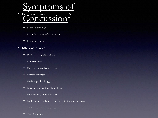#### mptoms of

- Early (minutes to hours)<br> **Canadia CUSSION<sup>2</sup>** headacht <u>بر</u>
	- Dizziness or vertigo
	- Lack of awareness of surroundings •
	- Nausea or vomiting
- **Late** (days to weeks)
	- Persistent low grade headache •
	- Lightheadedness •
	- Poor attention and concentration
	- Memory dysfunction
	- Easily fatigued (lethargy) •
	- Irritability and low frustration tolerance •
	- Photophobia (sensitivity to light)
	- Intolerance of loud noises, sometimes tinnitus (ringing in ears) •
	- Anxiety and/or depressed mood •
	- Sleep disturbances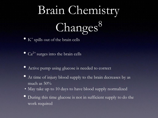# Brain Chemistry Changes<sup>8</sup>

• <sup>K</sup> <sup>+</sup>spills out of the brain cells

•  $Ca^{2+}$  surges into the brain cells

- Active pump using glucose is needed to correct
- At time of injury blood supply to the brain decreases by as much as 50%
- May take up to 10 days to have blood supply normalized
- During this time glucose is not in sufficient supply to do the work required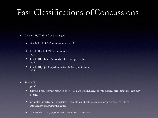#### Past Classifications of Concussions

- Grade I, II, III (brief or prolonged) 3
	- Grade I -No LOC, symptoms last <15'  $\bullet$
	- Grade II -No LOC, symptoms last  $>15'$  $\bullet$
	- Grade IIIb -brief (seconds) LOC, symptoms last  $>15'$  $\bullet$
	- Grade IIIp -prolonged (minutes) LOC, symptoms last  $>15'$
- Simple V.  $Complex<sup>1</sup>$ 
	- Simple: progressively resolves over 7-10 days. Formal neuropsychological screening does not play a role.
	- Complex: athletes suffer persistent symptoms, specific sequelae, or prolonged cognitive impairment following the injury
	- *A concussion is categorized as simple or complex post recovery.*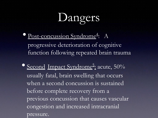## **Dangers**

- Post-concussion Syndrome<sup>4</sup>: : A progressive deterioration of cognitive function following repeated brain trauma
- Second Impact Syndrome<sup>5</sup>:  $:$  acute,  $50\%$ usually fatal, brain swelling that occurs when a second concussion is sustained before complete recovery from a previous concussion that causes vascular congestion and increased intracranial pressure.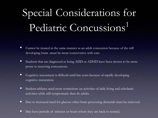### Special Considerations for Pediatric Concussions<sup>1</sup>

- Cannot be treated in the same manner as an adult concussion because of the still developing brain -must be more conservative with care.
- Students that are diagnosed as being ADD or ADHD have been shown to be more prone to receiving concussions.
- Cognitive assessment is difficult until late years because of rapidly developing cognitive maturation.
- Student-athletes need more restrictions on activities of daily living and scholastic activities while still symptomatic than do adults.
- Due to increased need for glucose other brain processing demands must be removed.
- May have periods of minutes or hours where they are back to normal.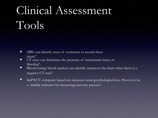### Clinical Assessment Tools

- MRI: can identify areas of contusion or axonal shear injury $^6$ .  $\bullet$
- CT scan: can determine the presence of intracranial injury or bleeding<sup>6</sup>. •
- Blood testing: blood markers can identify trauma to the brain when there is a negative CT scan $^6$ .  $\bullet$
- ImPACT: computer based test measures neuropsychological loss. Proven to be a reliable indicator for measuring recovery process<sup>1</sup>.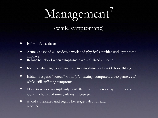# Management<sup>7</sup>

(while symptomatic)

- Inform Pediatrician  $\bullet$
- Acutely suspend all academic work and physical activities until symptoms improve. •
- Return to school when symptoms have stabilized at home.  $\bullet$
- Identify what triggers an increase in symptoms and avoid those things. •
- Initially suspend "screen" work (TV, texting, computer, video games, etc) while still suffering symptoms. •
- Once in school attempt only work that doesn't increase symptoms and work in chunks of time with rest inbetween. •
- Avoid caffeinated and sugary beverages, alcohol, and nicotine.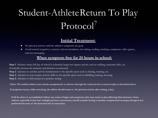#### Student-AthleteReturn To Play Protocol<sup>7</sup>

#### **Initial Treatment:**

- No physical activity until the athlete's symptoms are gone
- Avoid mental (cognitive) exertion; school attendance, test taking, reading, studying, computers, video games, and text messaging

#### **When symptom free for 24 hours in school:**

**Step 1**. Advance when full day of school is tolerated; begin low impact activity such as walking, stationary bike, etc. (Gradually increase the intensity and duration as tolerated)

**Step 2**. Advance to aerobic activity fundamental to the specific sport such as skating, running, etc.

**Step 3**. Advance to non-contact activity drills to the specific sport such as dribbling, batting, shooting

**Step 4.** Advance to full contact in a practice setting

**(Note: The student athlete must remain asymptomatic to advance through the various levels or return-to-play as described above.** 

**If symptoms return, while exercising, the athlete should return to the previous activity after waiting a day).**

**If all the above is accomplished without any return of signs and symptoms, they may return to play following final clearance. Some athletes, especially if they had multiple previous concussions, should consider having a baseline computerized neuropsychological test performed because of the increased risk of concussion.**